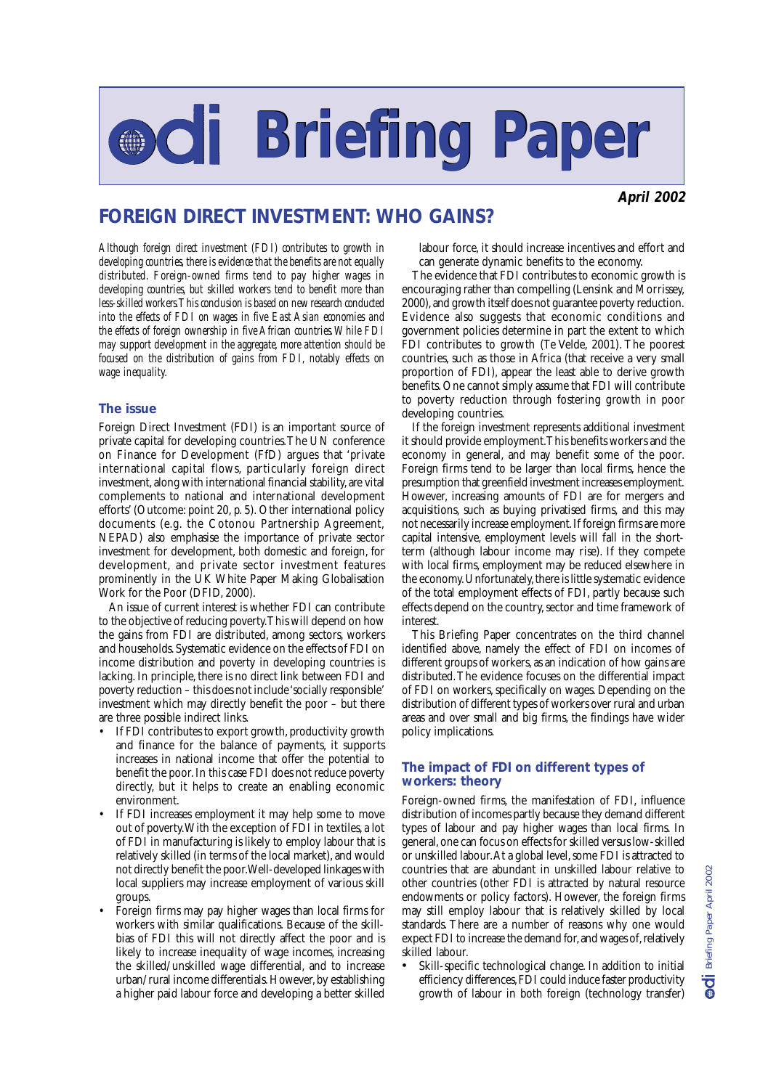# **Briefing Paper Briefing Paper**

**April 2002**

# **FOREIGN DIRECT INVESTMENT: WHO GAINS?**

*Although foreign direct investment (FDI) contributes to growth in developing countries, there is evidence that the benefits are not equally distributed. Foreign-owned firms tend to pay higher wages in developing countries, but skilled workers tend to benefit more than less-skilled workers. This conclusion is based on new research conducted into the effects of FDI on wages in five East Asian economies and the effects of foreign ownership in five African countries. While FDI may support development in the aggregate, more attention should be focused on the distribution of gains from FDI, notably effects on wage inequality.*

### **The issue**

Foreign Direct Investment (FDI) is an important source of private capital for developing countries. The UN conference on Finance for Development (FfD) argues that 'private international capital flows, particularly foreign direct investment, along with international financial stability, are vital complements to national and international development efforts' (Outcome: point 20, p. 5). Other international policy documents (e.g. the Cotonou Partnership Agreement, NEPAD) also emphasise the importance of private sector investment for development, both domestic and foreign, for development, and private sector investment features prominently in the UK White Paper Making Globalisation Work for the Poor (DFID, 2000).

An issue of current interest is whether FDI can contribute to the objective of reducing poverty. This will depend on how the gains from FDI are distributed, among sectors, workers and households. Systematic evidence on the effects of FDI on income distribution and poverty in developing countries is lacking. In principle, there is no direct link between FDI and poverty reduction – this does not include 'socially responsible' investment which may directly benefit the poor – but there are three possible indirect links.

- If FDI contributes to export growth, productivity growth and finance for the balance of payments, it supports increases in national income that offer the potential to benefit the poor. In this case FDI does not reduce poverty directly, but it helps to create an enabling economic environment.
- If FDI increases employment it may help some to move out of poverty. With the exception of FDI in textiles, a lot of FDI in manufacturing is likely to employ labour that is relatively skilled (in terms of the local market), and would not directly benefit the poor. Well-developed linkages with local suppliers may increase employment of various skill groups.
- Foreign firms may pay higher wages than local firms for workers with similar qualifications. Because of the skillbias of FDI this will not directly affect the poor and is likely to increase inequality of wage incomes, increasing the skilled/unskilled wage differential, and to increase urban/rural income differentials. However, by establishing a higher paid labour force and developing a better skilled

labour force, it should increase incentives and effort and can generate dynamic benefits to the economy.

The evidence that FDI contributes to economic growth is encouraging rather than compelling (Lensink and Morrissey, 2000), and growth itself does not guarantee poverty reduction. Evidence also suggests that economic conditions and government policies determine in part the extent to which FDI contributes to growth (Te Velde, 2001). The poorest countries, such as those in Africa (that receive a very small proportion of FDI), appear the least able to derive growth benefits. One cannot simply assume that FDI will contribute to poverty reduction through fostering growth in poor developing countries.

If the foreign investment represents additional investment it should provide employment. This benefits workers and the economy in general, and may benefit some of the poor. Foreign firms tend to be larger than local firms, hence the presumption that greenfield investment increases employment. However, increasing amounts of FDI are for mergers and acquisitions, such as buying privatised firms, and this may not necessarily increase employment. If foreign firms are more capital intensive, employment levels will fall in the shortterm (although labour income may rise). If they compete with local firms, employment may be reduced elsewhere in the economy. Unfortunately, there is little systematic evidence of the total employment effects of FDI, partly because such effects depend on the country, sector and time framework of interest.

This Briefing Paper concentrates on the third channel identified above, namely the effect of FDI on incomes of different groups of workers, as an indication of how gains are distributed. The evidence focuses on the differential impact of FDI on workers, specifically on wages. Depending on the distribution of different types of workers over rural and urban areas and over small and big firms, the findings have wider policy implications.

## **The impact of FDI on different types of workers: theory**

Foreign-owned firms, the manifestation of FDI, influence distribution of incomes partly because they demand different types of labour and pay higher wages than local firms. In general, one can focus on effects for skilled versus low-skilled or unskilled labour. At a global level, some FDI is attracted to countries that are abundant in unskilled labour relative to other countries (other FDI is attracted by natural resource endowments or policy factors). However, the foreign firms may still employ labour that is relatively skilled by local standards. There are a number of reasons why one would expect FDI to increase the demand for, and wages of, relatively skilled labour.

Skill-specific technological change. In addition to initial efficiency differences, FDI could induce faster productivity growth of labour in both foreign (technology transfer)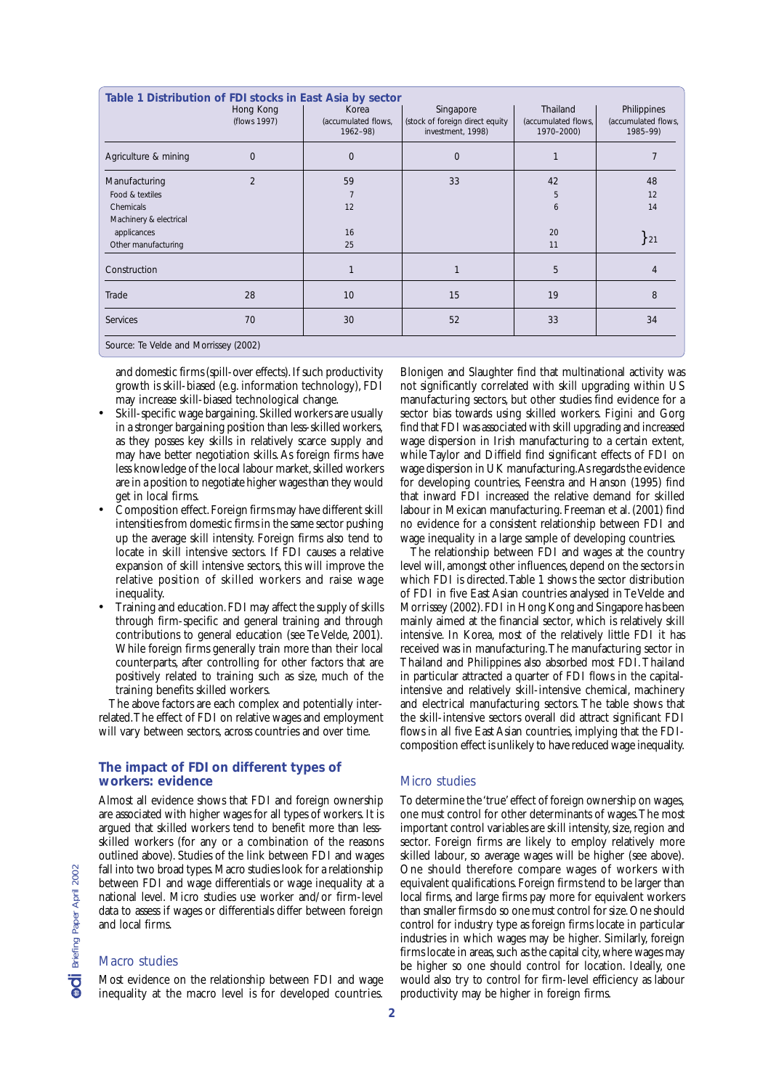| Table 1 Distribution of FDI stocks in East Asia by sector |                |                                 |                                                      |                                   |                                 |  |  |
|-----------------------------------------------------------|----------------|---------------------------------|------------------------------------------------------|-----------------------------------|---------------------------------|--|--|
|                                                           | Hong Kong      | Korea                           | Singapore                                            | Thailand                          | Philippines                     |  |  |
|                                                           | (flows 1997)   | (accumulated flows,<br>1962-98) | (stock of foreign direct equity<br>investment, 1998) | (accumulated flows,<br>1970-2000) | (accumulated flows,<br>1985-99) |  |  |
| Agriculture & mining                                      | $\mathbf{0}$   | $\mathbf 0$                     | 0                                                    |                                   |                                 |  |  |
| Manufacturing                                             | $\overline{2}$ | 59                              | 33                                                   | 42                                | 48                              |  |  |
| Food & textiles                                           |                |                                 |                                                      | 5                                 | 12                              |  |  |
| Chemicals                                                 |                | 12                              |                                                      | 6                                 | 14                              |  |  |
| Machinery & electrical                                    |                |                                 |                                                      |                                   |                                 |  |  |
| applicances                                               |                | 16                              |                                                      | 20                                |                                 |  |  |
| Other manufacturing                                       |                | 25                              |                                                      | 11                                | ${21}$                          |  |  |
| Construction                                              |                | 1                               |                                                      | 5                                 | 4                               |  |  |
| Trade                                                     | 28             | 10                              | 15                                                   | 19                                | 8                               |  |  |
| Services                                                  | 70             | 30                              | 52                                                   | 33                                | 34                              |  |  |
| Source: Te Velde and Morrissey (2002)                     |                |                                 |                                                      |                                   |                                 |  |  |

and domestic firms (spill-over effects). If such productivity growth is skill-biased (e.g. information technology), FDI may increase skill-biased technological change.

- Skill-specific wage bargaining. Skilled workers are usually in a stronger bargaining position than less-skilled workers, as they posses key skills in relatively scarce supply and may have better negotiation skills. As foreign firms have less knowledge of the local labour market, skilled workers are in a position to negotiate higher wages than they would get in local firms.
- Composition effect. Foreign firms may have different skill intensities from domestic firms in the same sector pushing up the average skill intensity. Foreign firms also tend to locate in skill intensive sectors. If FDI causes a relative expansion of skill intensive sectors, this will improve the relative position of skilled workers and raise wage inequality.
- Training and education. FDI may affect the supply of skills through firm-specific and general training and through contributions to general education (see Te Velde, 2001). While foreign firms generally train more than their local counterparts, after controlling for other factors that are positively related to training such as size, much of the training benefits skilled workers.

The above factors are each complex and potentially interrelated. The effect of FDI on relative wages and employment will vary between sectors, across countries and over time.

#### **The impact of FDI on different types of workers: evidence**

Almost all evidence shows that FDI and foreign ownership are associated with higher wages for all types of workers. It is argued that skilled workers tend to benefit more than lessskilled workers (for any or a combination of the reasons outlined above). Studies of the link between FDI and wages fall into two broad types. Macro studies look for a relationship between FDI and wage differentials or wage inequality at a national level. Micro studies use worker and/or firm-level data to assess if wages or differentials differ between foreign and local firms.

#### Macro studies

Most evidence on the relationship between FDI and wage inequality at the macro level is for developed countries.

Blonigen and Slaughter find that multinational activity was not significantly correlated with skill upgrading within US manufacturing sectors, but other studies find evidence for a sector bias towards using skilled workers. Figini and Gorg find that FDI was associated with skill upgrading and increased wage dispersion in Irish manufacturing to a certain extent, while Taylor and Diffield find significant effects of FDI on wage dispersion in UK manufacturing. As regards the evidence for developing countries, Feenstra and Hanson (1995) find that inward FDI increased the relative demand for skilled labour in Mexican manufacturing. Freeman et al. (2001) find no evidence for a consistent relationship between FDI and wage inequality in a large sample of developing countries.

The relationship between FDI and wages at the country level will, amongst other influences, depend on the sectors in which FDI is directed. Table 1 shows the sector distribution of FDI in five East Asian countries analysed in Te Velde and Morrissey (2002). FDI in Hong Kong and Singapore has been mainly aimed at the financial sector, which is relatively skill intensive. In Korea, most of the relatively little FDI it has received was in manufacturing. The manufacturing sector in Thailand and Philippines also absorbed most FDI. Thailand in particular attracted a quarter of FDI flows in the capitalintensive and relatively skill-intensive chemical, machinery and electrical manufacturing sectors. The table shows that the skill-intensive sectors overall did attract significant FDI flows in all five East Asian countries, implying that the FDIcomposition effect is unlikely to have reduced wage inequality.

#### Micro studies

To determine the 'true' effect of foreign ownership on wages, one must control for other determinants of wages. The most important control variables are skill intensity, size, region and sector. Foreign firms are likely to employ relatively more skilled labour, so average wages will be higher (see above). One should therefore compare wages of workers with equivalent qualifications. Foreign firms tend to be larger than local firms, and large firms pay more for equivalent workers than smaller firms do so one must control for size. One should control for industry type as foreign firms locate in particular industries in which wages may be higher. Similarly, foreign firms locate in areas, such as the capital city, where wages may be higher so one should control for location. Ideally, one would also try to control for firm-level efficiency as labour productivity may be higher in foreign firms.

**2**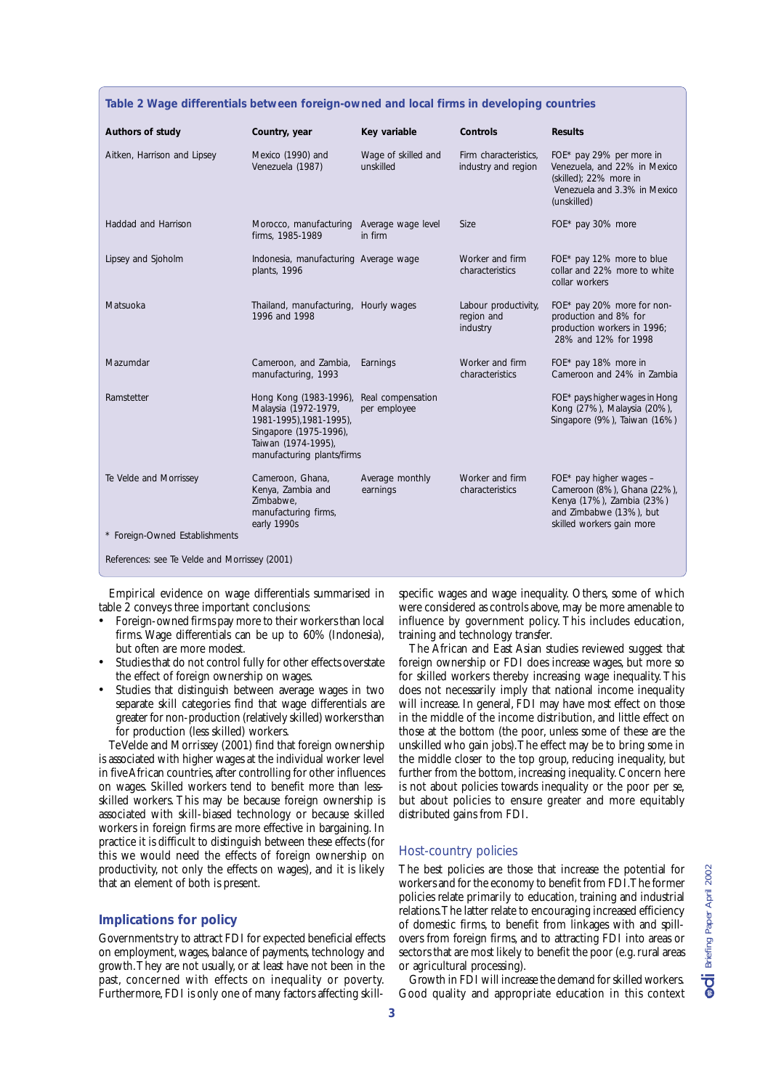| Table 2 Wage differentials between foreign-owned and local firms in developing countries |                                                                                                                                                          |                                   |                                                |                                                                                                                                               |  |  |
|------------------------------------------------------------------------------------------|----------------------------------------------------------------------------------------------------------------------------------------------------------|-----------------------------------|------------------------------------------------|-----------------------------------------------------------------------------------------------------------------------------------------------|--|--|
| Authors of study                                                                         | Country, year                                                                                                                                            | Key variable                      | Controls                                       | <b>Results</b>                                                                                                                                |  |  |
| Aitken, Harrison and Lipsey                                                              | Mexico (1990) and<br>Venezuela (1987)                                                                                                                    | Wage of skilled and<br>unskilled  | Firm characteristics.<br>industry and region   | FOE* pay 29% per more in<br>Venezuela, and 22% in Mexico<br>(skilled); 22% more in<br>Venezuela and 3.3% in Mexico<br>(unskilled)             |  |  |
| Haddad and Harrison                                                                      | Morocco, manufacturing Average wage level<br>firms, 1985-1989                                                                                            | in firm                           | <b>Size</b>                                    | FOE* pay 30% more                                                                                                                             |  |  |
| Lipsey and Sjoholm                                                                       | Indonesia, manufacturing Average wage<br>plants, 1996                                                                                                    |                                   | Worker and firm<br>characteristics             | FOE* pay 12% more to blue<br>collar and 22% more to white<br>collar workers                                                                   |  |  |
| Matsuoka                                                                                 | Thailand, manufacturing, Hourly wages<br>1996 and 1998                                                                                                   |                                   | Labour productivity,<br>region and<br>industry | FOE* pay 20% more for non-<br>production and 8% for<br>production workers in 1996;<br>28% and 12% for 1998                                    |  |  |
| Mazumdar                                                                                 | Cameroon, and Zambia,<br>manufacturing, 1993                                                                                                             | Earnings                          | Worker and firm<br>characteristics             | FOE* pay 18% more in<br>Cameroon and 24% in Zambia                                                                                            |  |  |
| Ramstetter                                                                               | Hong Kong (1983-1996),<br>Malaysia (1972-1979,<br>1981-1995), 1981-1995),<br>Singapore (1975-1996),<br>Taiwan (1974-1995),<br>manufacturing plants/firms | Real compensation<br>per employee |                                                | FOE* pays higher wages in Hong<br>Kong (27%), Malaysia (20%),<br>Singapore (9%), Taiwan (16%)                                                 |  |  |
| Te Velde and Morrissey                                                                   | Cameroon, Ghana,<br>Kenya, Zambia and<br>Zimbabwe.<br>manufacturing firms,<br>early 1990s                                                                | Average monthly<br>earnings       | Worker and firm<br>characteristics             | FOE* pay higher wages $-$<br>Cameroon (8%), Ghana (22%),<br>Kenya (17%), Zambia (23%)<br>and Zimbabwe (13%), but<br>skilled workers gain more |  |  |
| * Foreign-Owned Establishments                                                           |                                                                                                                                                          |                                   |                                                |                                                                                                                                               |  |  |
| References: see Te Velde and Morrissey (2001)                                            |                                                                                                                                                          |                                   |                                                |                                                                                                                                               |  |  |

Empirical evidence on wage differentials summarised in table 2 conveys three important conclusions:

- Foreign-owned firms pay more to their workers than local firms. Wage differentials can be up to 60% (Indonesia), but often are more modest.
- Studies that do not control fully for other effects overstate the effect of foreign ownership on wages.
- Studies that distinguish between average wages in two separate skill categories find that wage differentials are greater for non-production (relatively skilled) workers than for production (less skilled) workers.

Te Velde and Morrissey (2001) find that foreign ownership is associated with higher wages at the individual worker level in five African countries, after controlling for other influences on wages. Skilled workers tend to benefit more than lessskilled workers. This may be because foreign ownership is associated with skill-biased technology or because skilled workers in foreign firms are more effective in bargaining. In practice it is difficult to distinguish between these effects (for this we would need the effects of foreign ownership on productivity, not only the effects on wages), and it is likely that an element of both is present.

#### **Implications for policy**

Governments try to attract FDI for expected beneficial effects on employment, wages, balance of payments, technology and growth. They are not usually, or at least have not been in the past, concerned with effects on inequality or poverty. Furthermore, FDI is only one of many factors affecting skillspecific wages and wage inequality. Others, some of which were considered as controls above, may be more amenable to influence by government policy. This includes education, training and technology transfer.

The African and East Asian studies reviewed suggest that foreign ownership or FDI does increase wages, but more so for skilled workers thereby increasing wage inequality. This does not necessarily imply that national income inequality will increase. In general, FDI may have most effect on those in the middle of the income distribution, and little effect on those at the bottom (the poor, unless some of these are the unskilled who gain jobs). The effect may be to bring some in the middle closer to the top group, reducing inequality, but further from the bottom, increasing inequality. Concern here is not about policies towards inequality or the poor per se, but about policies to ensure greater and more equitably distributed gains from FDI.

#### Host-country policies

The best policies are those that increase the potential for workers and for the economy to benefit from FDI. The former policies relate primarily to education, training and industrial relations. The latter relate to encouraging increased efficiency of domestic firms, to benefit from linkages with and spillovers from foreign firms, and to attracting FDI into areas or sectors that are most likely to benefit the poor (e.g. rural areas or agricultural processing).

Growth in FDI will increase the demand for skilled workers. Good quality and appropriate education in this context